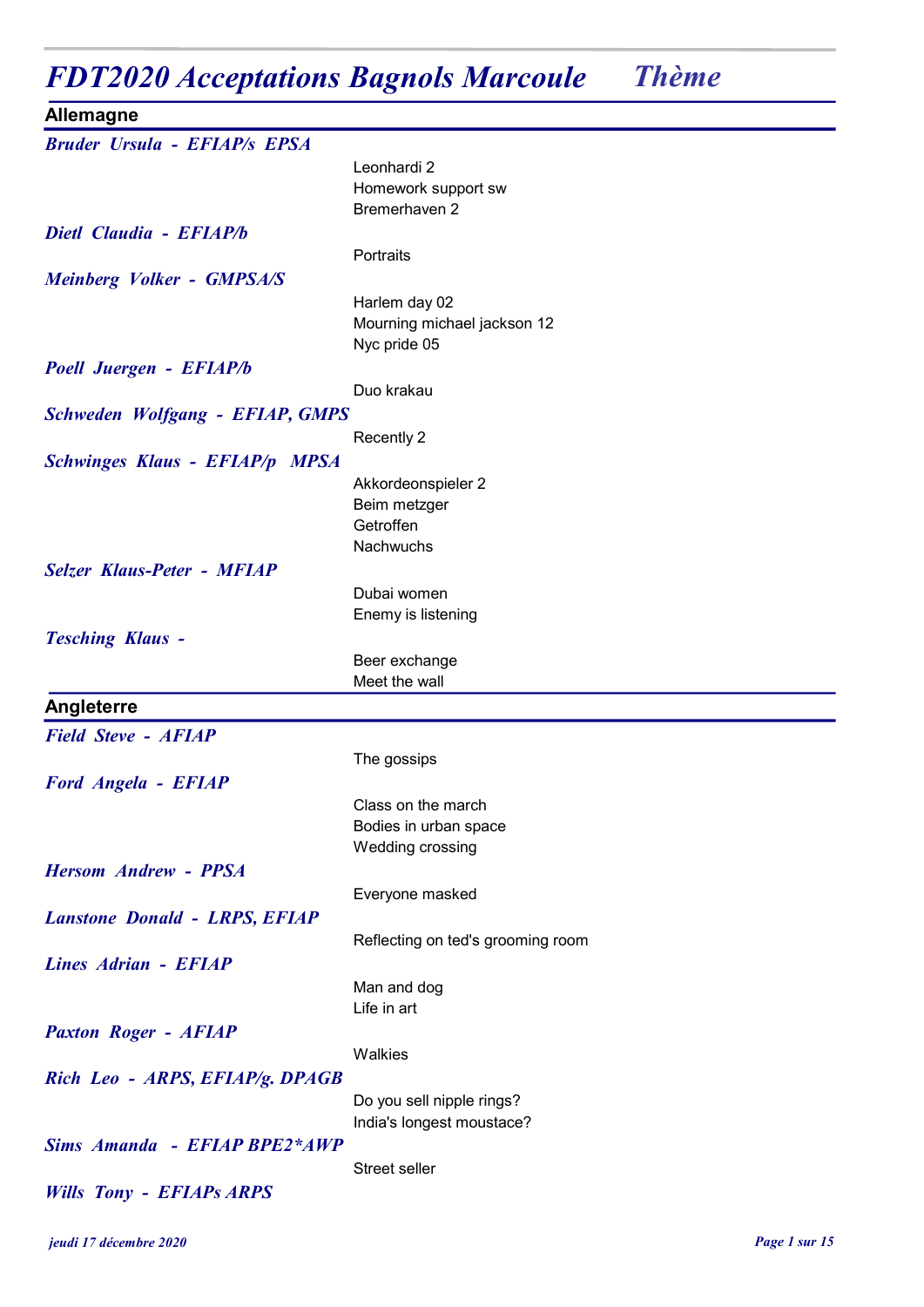# FDT2020 Acceptations Bagnols Marcoule Thème

| <b>Allemagne</b>                       |                                   |
|----------------------------------------|-----------------------------------|
| <b>Bruder Ursula - EFIAP/s EPSA</b>    |                                   |
|                                        | Leonhardi 2                       |
|                                        | Homework support sw               |
|                                        | Bremerhaven 2                     |
| Dietl Claudia - EFIAP/b                |                                   |
|                                        | Portraits                         |
| Meinberg Volker - GMPSA/S              |                                   |
|                                        | Harlem day 02                     |
|                                        | Mourning michael jackson 12       |
|                                        | Nyc pride 05                      |
| Poell Juergen - EFIAP/b                |                                   |
|                                        | Duo krakau                        |
|                                        |                                   |
| <b>Schweden Wolfgang - EFIAP, GMPS</b> |                                   |
|                                        | Recently 2                        |
| <b>Schwinges Klaus - EFIAP/p MPSA</b>  |                                   |
|                                        | Akkordeonspieler 2                |
|                                        | Beim metzger                      |
|                                        | Getroffen                         |
|                                        | Nachwuchs                         |
| <b>Selzer Klaus-Peter - MFIAP</b>      |                                   |
|                                        | Dubai women                       |
|                                        | Enemy is listening                |
| <b>Tesching Klaus -</b>                |                                   |
|                                        | Beer exchange                     |
|                                        | Meet the wall                     |
| Angleterre                             |                                   |
| <b>Field Steve - AFIAP</b>             |                                   |
|                                        | The gossips                       |
| <b>Ford Angela - EFIAP</b>             |                                   |
|                                        | Class on the march                |
|                                        | Bodies in urban space             |
|                                        | Wedding crossing                  |
| <b>Hersom Andrew - PPSA</b>            |                                   |
|                                        |                                   |
|                                        | Everyone masked                   |
| <b>Lanstone Donald - LRPS, EFIAP</b>   |                                   |
|                                        | Reflecting on ted's grooming room |
| <b>Lines Adrian - EFIAP</b>            |                                   |
|                                        | Man and dog                       |
|                                        | Life in art                       |
| <b>Paxton Roger - AFIAP</b>            |                                   |
|                                        | Walkies                           |
| Rich Leo - ARPS, EFIAP/g. DPAGB        |                                   |
|                                        | Do you sell nipple rings?         |
|                                        | India's longest moustace?         |
| <b>Sims Amanda - EFIAP BPE2*AWP</b>    |                                   |
|                                        | Street seller                     |
| <b>Wills Tony - EFIAPs ARPS</b>        |                                   |
|                                        |                                   |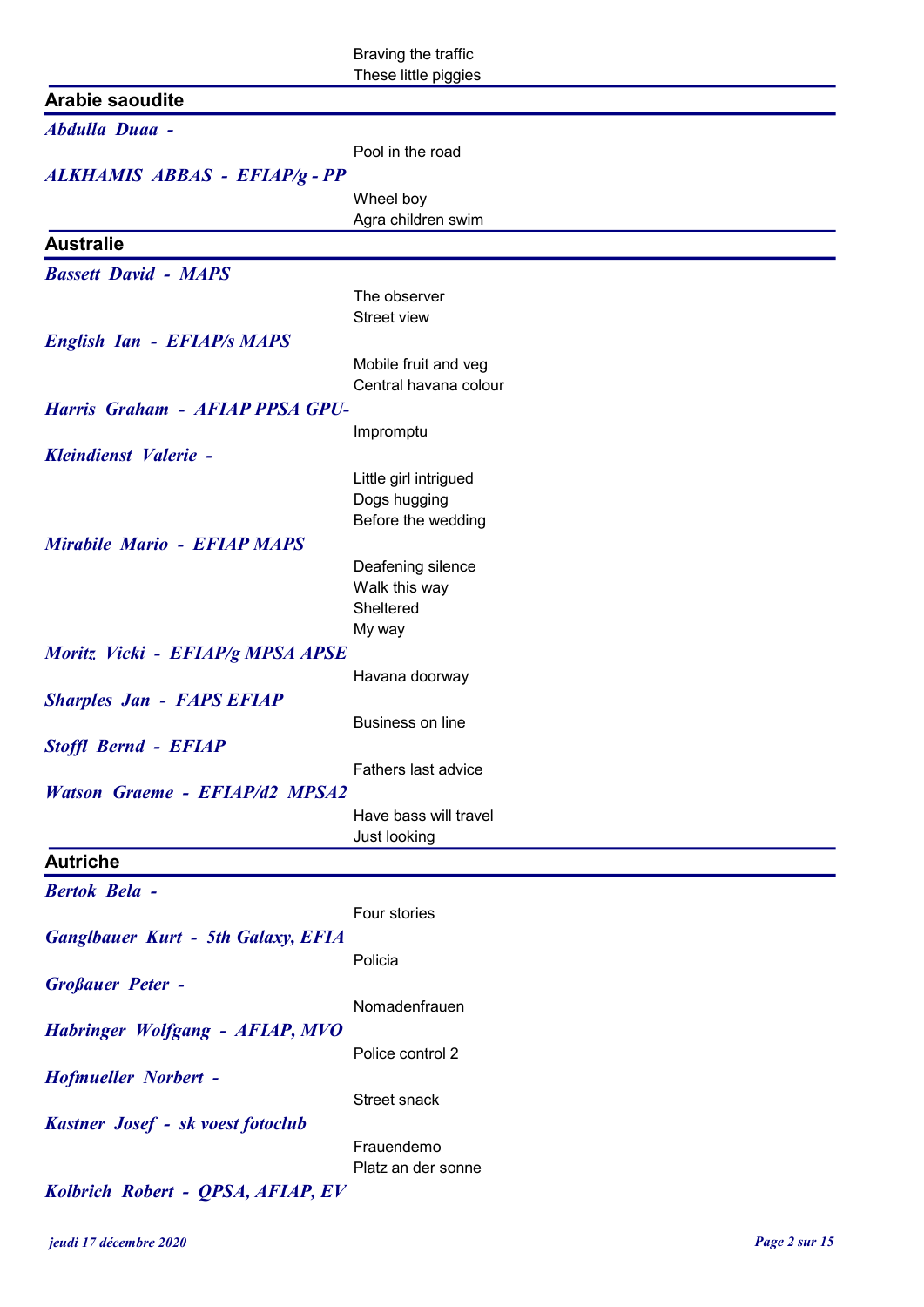Braving the traffic These little piggies

## Arabie saoudite

| <b>Alable Sauuulle</b>                    |                                               |
|-------------------------------------------|-----------------------------------------------|
| <b>Abdulla Duaa -</b>                     |                                               |
|                                           | Pool in the road                              |
| ALKHAMIS ABBAS - EFIAP/g - PP             |                                               |
|                                           | Wheel boy                                     |
|                                           | Agra children swim                            |
| <b>Australie</b>                          |                                               |
| <b>Bassett David - MAPS</b>               |                                               |
|                                           | The observer                                  |
|                                           | Street view                                   |
| <b>English Ian - EFIAP/s MAPS</b>         |                                               |
|                                           | Mobile fruit and veg<br>Central havana colour |
| Harris Graham - AFIAP PPSA GPU-           |                                               |
|                                           | Impromptu                                     |
| Kleindienst Valerie -                     |                                               |
|                                           | Little girl intrigued                         |
|                                           | Dogs hugging                                  |
|                                           | Before the wedding                            |
| Mirabile Mario - EFIAP MAPS               |                                               |
|                                           | Deafening silence                             |
|                                           | Walk this way                                 |
|                                           | Sheltered                                     |
|                                           | My way                                        |
| Moritz Vicki - EFIAP/g MPSA APSE          | Havana doorway                                |
| <b>Sharples Jan - FAPS EFIAP</b>          |                                               |
|                                           | Business on line                              |
| <b>Stoffl Bernd - EFIAP</b>               |                                               |
|                                           | Fathers last advice                           |
| <b>Watson Graeme - EFIAP/d2 MPSA2</b>     |                                               |
|                                           | Have bass will travel                         |
|                                           | Just looking                                  |
| <b>Autriche</b>                           |                                               |
| <b>Bertok Bela -</b>                      |                                               |
|                                           | Four stories                                  |
| <b>Ganglbauer Kurt - 5th Galaxy, EFIA</b> |                                               |
|                                           | Policia                                       |
| <b>Großauer Peter -</b>                   |                                               |
|                                           | Nomadenfrauen                                 |
| Habringer Wolfgang - AFIAP, MVO           |                                               |
|                                           | Police control 2                              |
| <b>Hofmueller Norbert -</b>               |                                               |
|                                           | Street snack                                  |
| Kastner Josef - sk voest fotoclub         |                                               |
|                                           | Frauendemo                                    |
|                                           | Platz an der sonne                            |
| Kolbrich Robert - QPSA, AFIAP, EV         |                                               |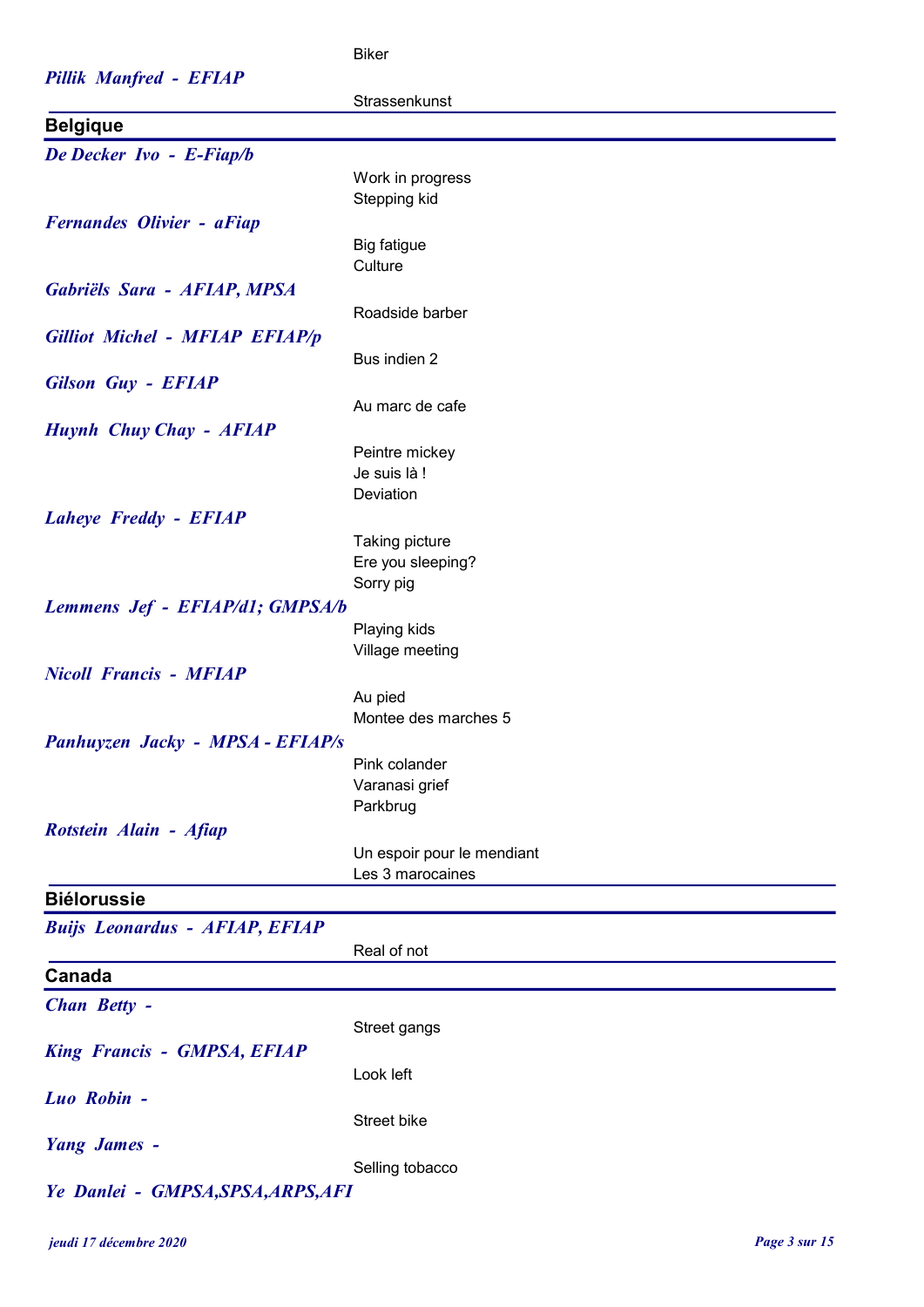#### Pillik Manfred - EFIAP

#### Biker

| Pillik Manfred - EFIAP                |                                 |
|---------------------------------------|---------------------------------|
|                                       | Strassenkunst                   |
| <b>Belgique</b>                       |                                 |
| De Decker Ivo - E-Fiap/b              |                                 |
|                                       | Work in progress                |
|                                       | Stepping kid                    |
|                                       |                                 |
| <b>Fernandes Olivier - aFiap</b>      |                                 |
|                                       | <b>Big fatigue</b>              |
|                                       | Culture                         |
| Gabriëls Sara - AFIAP, MPSA           |                                 |
|                                       | Roadside barber                 |
| Gilliot Michel - MFIAP EFIAP/p        |                                 |
|                                       | Bus indien 2                    |
| <b>Gilson Guy - EFIAP</b>             |                                 |
|                                       | Au marc de cafe                 |
| Huynh Chuy Chay - AFIAP               |                                 |
|                                       | Peintre mickey                  |
|                                       | Je suis là !                    |
|                                       | Deviation                       |
| <b>Laheye Freddy - EFIAP</b>          |                                 |
|                                       | Taking picture                  |
|                                       | Ere you sleeping?               |
|                                       | Sorry pig                       |
| Lemmens Jef - EFIAP/d1; GMPSA/b       |                                 |
|                                       | Playing kids                    |
|                                       | Village meeting                 |
| <b>Nicoll Francis - MFIAP</b>         |                                 |
|                                       |                                 |
|                                       | Au pied<br>Montee des marches 5 |
|                                       |                                 |
| Panhuyzen Jacky - MPSA - EFIAP/s      |                                 |
|                                       | Pink colander                   |
|                                       | Varanasi grief                  |
|                                       | Parkbrug                        |
| Rotstein Alain - Afiap                |                                 |
|                                       | Un espoir pour le mendiant      |
|                                       | Les 3 marocaines                |
| <b>Biélorussie</b>                    |                                 |
| <b>Buijs Leonardus - AFIAP, EFIAP</b> |                                 |
|                                       | Real of not                     |
| Canada                                |                                 |
|                                       |                                 |
| Chan Betty -                          |                                 |
|                                       | Street gangs                    |
| <b>King Francis - GMPSA, EFIAP</b>    |                                 |
|                                       | Look left                       |
| Luo Robin -                           |                                 |
|                                       | Street bike                     |
| <b>Yang James -</b>                   |                                 |
|                                       | Selling tobacco                 |
| Ye Danlei - GMPSA, SPSA, ARPS, AFI    |                                 |
|                                       |                                 |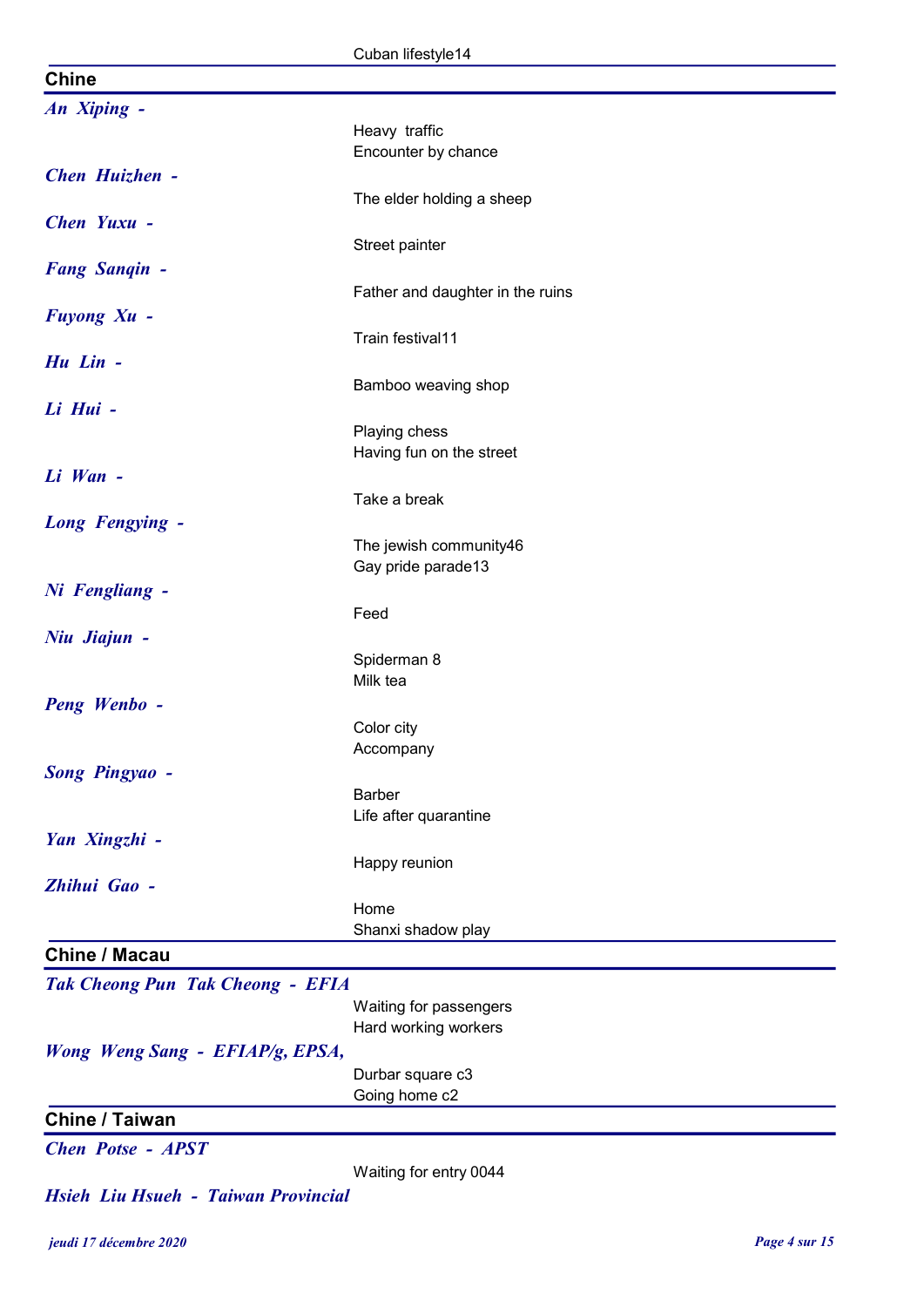|                                         | Cuban lifestyle14                |
|-----------------------------------------|----------------------------------|
| <b>Chine</b>                            |                                  |
| An Xiping -                             |                                  |
|                                         | Heavy traffic                    |
|                                         | Encounter by chance              |
| Chen Huizhen -                          |                                  |
|                                         | The elder holding a sheep        |
| Chen Yuxu -                             |                                  |
|                                         | Street painter                   |
| <b>Fang Sanqin -</b>                    |                                  |
|                                         | Father and daughter in the ruins |
| <b>Fuyong Xu -</b>                      |                                  |
|                                         | Train festival11                 |
| Hu Lin -                                |                                  |
| Li Hui -                                | Bamboo weaving shop              |
|                                         | Playing chess                    |
|                                         | Having fun on the street         |
| Li Wan -                                |                                  |
|                                         | Take a break                     |
| <b>Long Fengying -</b>                  |                                  |
|                                         | The jewish community46           |
|                                         | Gay pride parade13               |
| Ni Fengliang -                          |                                  |
|                                         | Feed                             |
| Niu Jiajun -                            |                                  |
|                                         | Spiderman 8                      |
| Peng Wenbo -                            | Milk tea                         |
|                                         | Color city                       |
|                                         | Accompany                        |
| <b>Song Pingyao -</b>                   |                                  |
|                                         | <b>Barber</b>                    |
|                                         | Life after quarantine            |
| Yan Xingzhi -                           |                                  |
|                                         | Happy reunion                    |
| Zhihui Gao -                            |                                  |
|                                         | Home                             |
|                                         | Shanxi shadow play               |
| <b>Chine / Macau</b>                    |                                  |
| <b>Tak Cheong Pun Tak Cheong - EFIA</b> |                                  |
|                                         | Waiting for passengers           |
|                                         | Hard working workers             |
| Wong Weng Sang - EFIAP/g, EPSA,         | Durbar square c3                 |
|                                         | Going home c2                    |
| <b>Chine / Taiwan</b>                   |                                  |
| <b>Chen Potse - APST</b>                |                                  |
|                                         | Waiting for entry 0044           |

Hsieh Liu Hsueh - Taiwan Provincial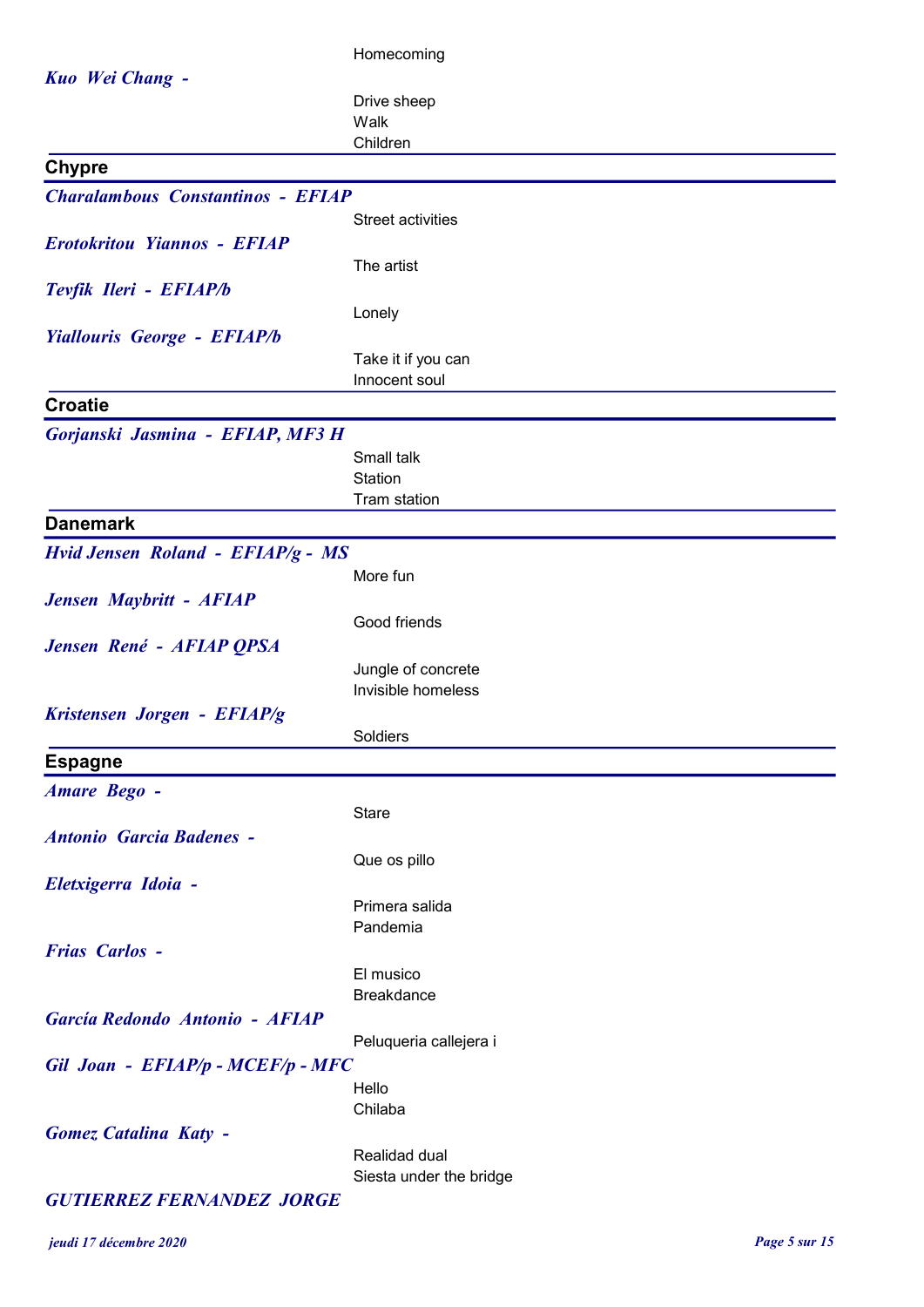|                                          | Homecoming                               |
|------------------------------------------|------------------------------------------|
| Kuo Wei Chang -                          |                                          |
|                                          | Drive sheep                              |
|                                          | Walk                                     |
|                                          | Children                                 |
| <b>Chypre</b>                            |                                          |
| <b>Charalambous Constantinos - EFIAP</b> |                                          |
|                                          | <b>Street activities</b>                 |
| <b>Erotokritou Yiannos - EFIAP</b>       | The artist                               |
| Tevfik Ileri - EFIAP/b                   |                                          |
|                                          | Lonely                                   |
| <b>Yiallouris George - EFIAP/b</b>       |                                          |
|                                          | Take it if you can                       |
|                                          | Innocent soul                            |
| <b>Croatie</b>                           |                                          |
| Gorjanski Jasmina - EFIAP, MF3 H         |                                          |
|                                          | Small talk                               |
|                                          | Station                                  |
|                                          | Tram station                             |
| <b>Danemark</b>                          |                                          |
| Hvid Jensen Roland - EFIAP/g - MS        |                                          |
|                                          | More fun                                 |
| Jensen Maybritt - AFIAP                  |                                          |
|                                          | Good friends                             |
| Jensen René - AFIAP QPSA                 | Jungle of concrete                       |
|                                          | Invisible homeless                       |
| Kristensen Jorgen - EFIAP/g              |                                          |
|                                          | Soldiers                                 |
| <b>Espagne</b>                           |                                          |
| <b>Amare Bego -</b>                      |                                          |
|                                          | <b>Stare</b>                             |
| <b>Antonio Garcia Badenes -</b>          |                                          |
|                                          | Que os pillo                             |
| Eletxigerra Idoia -                      |                                          |
|                                          | Primera salida<br>Pandemia               |
| <b>Frias Carlos -</b>                    |                                          |
|                                          | El musico                                |
|                                          | <b>Breakdance</b>                        |
| García Redondo Antonio - AFIAP           |                                          |
|                                          | Peluqueria callejera i                   |
| Gil Joan - EFIAP/p - MCEF/p - MFC        |                                          |
|                                          | Hello                                    |
|                                          | Chilaba                                  |
| <b>Gomez Catalina Katy -</b>             |                                          |
|                                          | Realidad dual<br>Siesta under the bridge |
|                                          |                                          |

## GUTIERREZ FERNANDEZ JORGE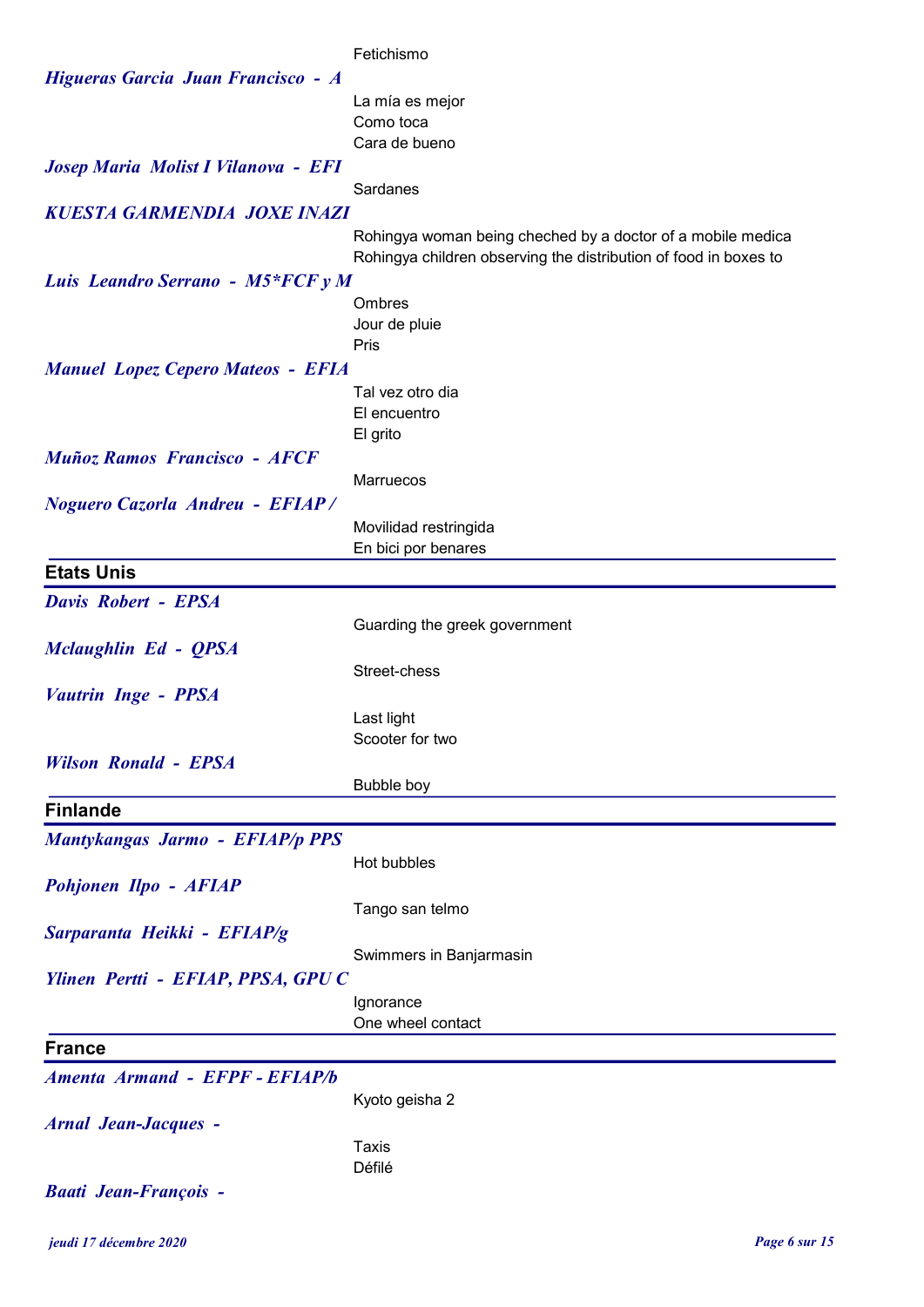|                                          | Fetichismo                                                                                                                      |
|------------------------------------------|---------------------------------------------------------------------------------------------------------------------------------|
| Higueras Garcia Juan Francisco - A       |                                                                                                                                 |
|                                          | La mía es mejor                                                                                                                 |
|                                          | Como toca                                                                                                                       |
|                                          | Cara de bueno                                                                                                                   |
| Josep Maria Molist I Vilanova - EFI      |                                                                                                                                 |
|                                          | Sardanes                                                                                                                        |
| <b>KUESTA GARMENDIA JOXE INAZI</b>       |                                                                                                                                 |
|                                          | Rohingya woman being cheched by a doctor of a mobile medica<br>Rohingya children observing the distribution of food in boxes to |
| Luis Leandro Serrano - M5*FCF y M        |                                                                                                                                 |
|                                          | Ombres                                                                                                                          |
|                                          | Jour de pluie                                                                                                                   |
|                                          | Pris                                                                                                                            |
| <b>Manuel Lopez Cepero Mateos - EFIA</b> |                                                                                                                                 |
|                                          | Tal vez otro dia                                                                                                                |
|                                          | El encuentro                                                                                                                    |
|                                          | El grito                                                                                                                        |
| <b>Muñoz Ramos Francisco - AFCF</b>      |                                                                                                                                 |
|                                          | Marruecos                                                                                                                       |
| <b>Noguero Cazorla Andreu - EFIAP/</b>   |                                                                                                                                 |
|                                          | Movilidad restringida                                                                                                           |
|                                          | En bici por benares                                                                                                             |
| <b>Etats Unis</b>                        |                                                                                                                                 |
| <b>Davis Robert - EPSA</b>               |                                                                                                                                 |
|                                          | Guarding the greek government                                                                                                   |
| Mclaughlin Ed - QPSA                     |                                                                                                                                 |
|                                          | Street-chess                                                                                                                    |
| <b>Vautrin Inge - PPSA</b>               |                                                                                                                                 |
|                                          | Last light<br>Scooter for two                                                                                                   |
| <b>Wilson Ronald - EPSA</b>              |                                                                                                                                 |
|                                          | Bubble boy                                                                                                                      |
| <b>Finlande</b>                          |                                                                                                                                 |
|                                          |                                                                                                                                 |
| Mantykangas Jarmo - EFIAP/p PPS          |                                                                                                                                 |
|                                          | Hot bubbles                                                                                                                     |
| Pohjonen Ilpo - AFIAP                    |                                                                                                                                 |
|                                          | Tango san telmo                                                                                                                 |
| Sarparanta Heikki - EFIAP/g              |                                                                                                                                 |
| Ylinen Pertti - EFIAP, PPSA, GPU C       | Swimmers in Banjarmasin                                                                                                         |
|                                          | Ignorance                                                                                                                       |
|                                          | One wheel contact                                                                                                               |
| <b>France</b>                            |                                                                                                                                 |
| Amenta Armand - EFPF - EFIAP/b           |                                                                                                                                 |
|                                          |                                                                                                                                 |
|                                          | Kyoto geisha 2                                                                                                                  |
| <b>Arnal Jean-Jacques -</b>              | Taxis                                                                                                                           |
|                                          | Défilé                                                                                                                          |
| <b>Baati Jean-François -</b>             |                                                                                                                                 |
|                                          |                                                                                                                                 |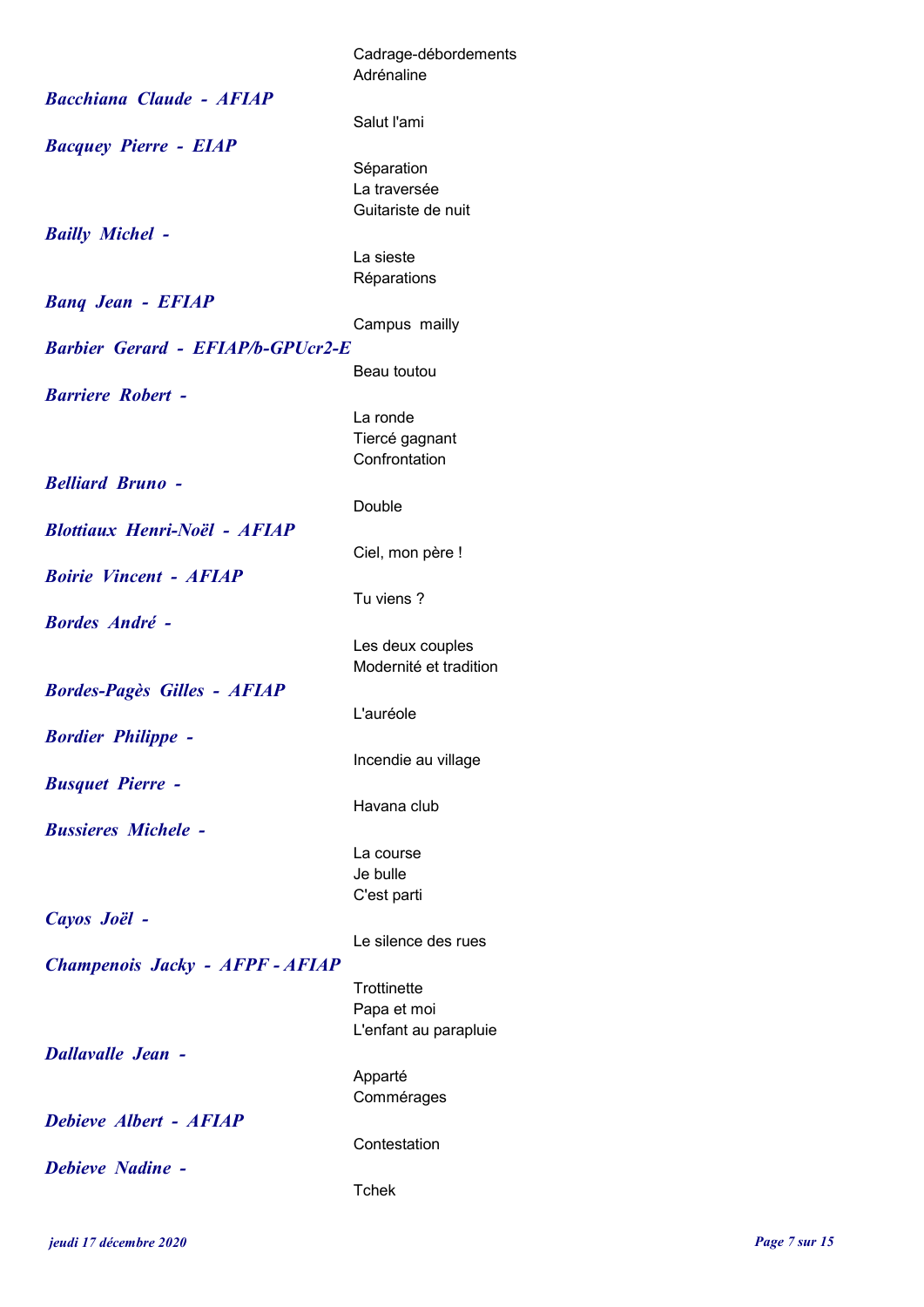|                                          | Cadrage-débordements<br>Adrénaline   |
|------------------------------------------|--------------------------------------|
| <b>Bacchiana Claude - AFIAP</b>          |                                      |
|                                          | Salut l'ami                          |
| <b>Bacquey Pierre - EIAP</b>             | Séparation                           |
|                                          | La traversée                         |
|                                          | Guitariste de nuit                   |
| <b>Bailly Michel -</b>                   |                                      |
|                                          | La sieste                            |
| <b>Bang Jean - EFIAP</b>                 | Réparations                          |
|                                          | Campus mailly                        |
| <b>Barbier Gerard - EFIAP/b-GPUcr2-E</b> |                                      |
|                                          | Beau toutou                          |
| <b>Barriere Robert -</b>                 |                                      |
|                                          | La ronde                             |
|                                          | Tiercé gagnant<br>Confrontation      |
| <b>Belliard Bruno -</b>                  |                                      |
|                                          | Double                               |
| <b>Blottiaux Henri-Noël - AFIAP</b>      |                                      |
|                                          | Ciel, mon père !                     |
| <b>Boirie Vincent - AFIAP</b>            | Tu viens?                            |
| <b>Bordes André -</b>                    |                                      |
|                                          | Les deux couples                     |
|                                          | Modernité et tradition               |
| <b>Bordes-Pagès Gilles - AFIAP</b>       |                                      |
|                                          | L'auréole                            |
| <b>Bordier Philippe -</b>                | Incendie au village                  |
| <b>Busquet Pierre -</b>                  |                                      |
|                                          | Havana club                          |
| <b>Bussieres Michele -</b>               |                                      |
|                                          | La course                            |
|                                          | Je bulle<br>C'est parti              |
| Cayos Joël -                             |                                      |
|                                          | Le silence des rues                  |
| Champenois Jacky - AFPF - AFIAP          |                                      |
|                                          | Trottinette                          |
|                                          | Papa et moi<br>L'enfant au parapluie |
| <b>Dallavalle Jean -</b>                 |                                      |
|                                          | Apparté                              |
|                                          | Commérages                           |
| Debieve Albert - AFIAP                   |                                      |
| Debieve Nadine -                         | Contestation                         |
|                                          | Tchek                                |
|                                          |                                      |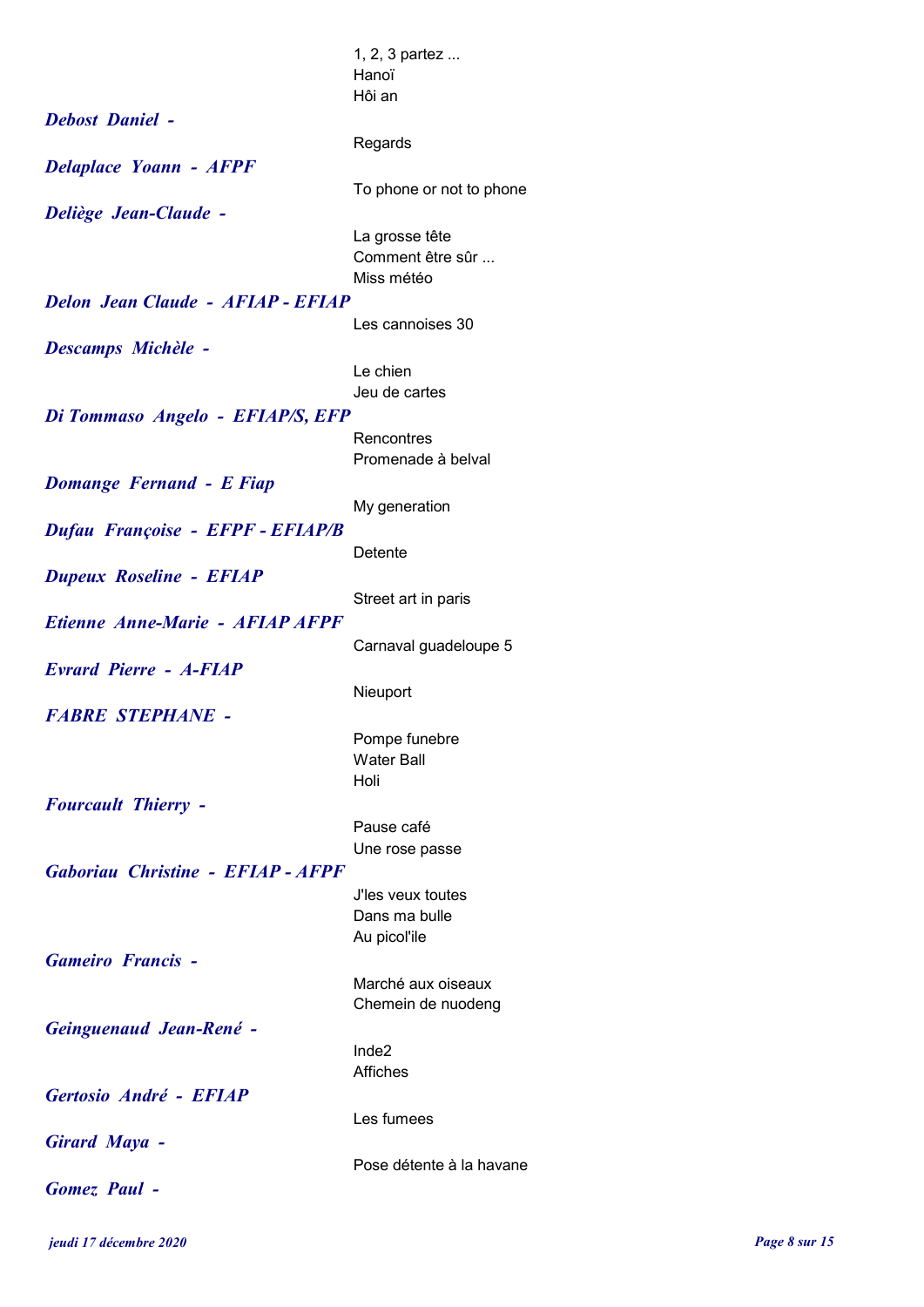|                                          | 1, 2, 3 partez           |
|------------------------------------------|--------------------------|
|                                          | Hanoï                    |
|                                          | Hôi an                   |
| <b>Debost Daniel -</b>                   |                          |
|                                          | Regards                  |
| <b>Delaplace Yoann - AFPF</b>            |                          |
|                                          | To phone or not to phone |
| Deliège Jean-Claude -                    |                          |
|                                          | La grosse tête           |
|                                          | Comment être sûr         |
|                                          | Miss météo               |
| <b>Delon Jean Claude - AFIAP - EFIAP</b> |                          |
|                                          | Les cannoises 30         |
| <b>Descamps Michèle -</b>                |                          |
|                                          | Le chien                 |
|                                          | Jeu de cartes            |
| Di Tommaso Angelo - EFIAP/S, EFP         |                          |
|                                          | Rencontres               |
|                                          | Promenade à belval       |
|                                          |                          |
| <b>Domange Fernand - E Fiap</b>          |                          |
|                                          | My generation            |
| Dufau Françoise - EFPF - EFIAP/B         |                          |
|                                          | Detente                  |
| <b>Dupeux Roseline - EFIAP</b>           |                          |
|                                          | Street art in paris      |
| Etienne Anne-Marie - AFIAP AFPF          |                          |
|                                          | Carnaval guadeloupe 5    |
| <b>Evrard Pierre - A-FIAP</b>            |                          |
|                                          | Nieuport                 |
| <b>FABRE STEPHANE -</b>                  |                          |
|                                          | Pompe funebre            |
|                                          | <b>Water Ball</b>        |
|                                          | Holi                     |
| <b>Fourcault Thierry -</b>               |                          |
|                                          | Pause café               |
|                                          | Une rose passe           |
| Gaboriau Christine - EFIAP - AFPF        |                          |
|                                          | J'les veux toutes        |
|                                          | Dans ma bulle            |
|                                          | Au picol'ile             |
| <b>Gameiro Francis -</b>                 |                          |
|                                          | Marché aux oiseaux       |
|                                          | Chemein de nuodeng       |
| Geinguenaud Jean-René -                  |                          |
|                                          | Inde2                    |
|                                          | <b>Affiches</b>          |
| Gertosio André - EFIAP                   |                          |
|                                          | Les fumees               |
| <b>Girard Maya -</b>                     |                          |
|                                          | Pose détente à la havane |
| <b>Gomez</b> Paul -                      |                          |
|                                          |                          |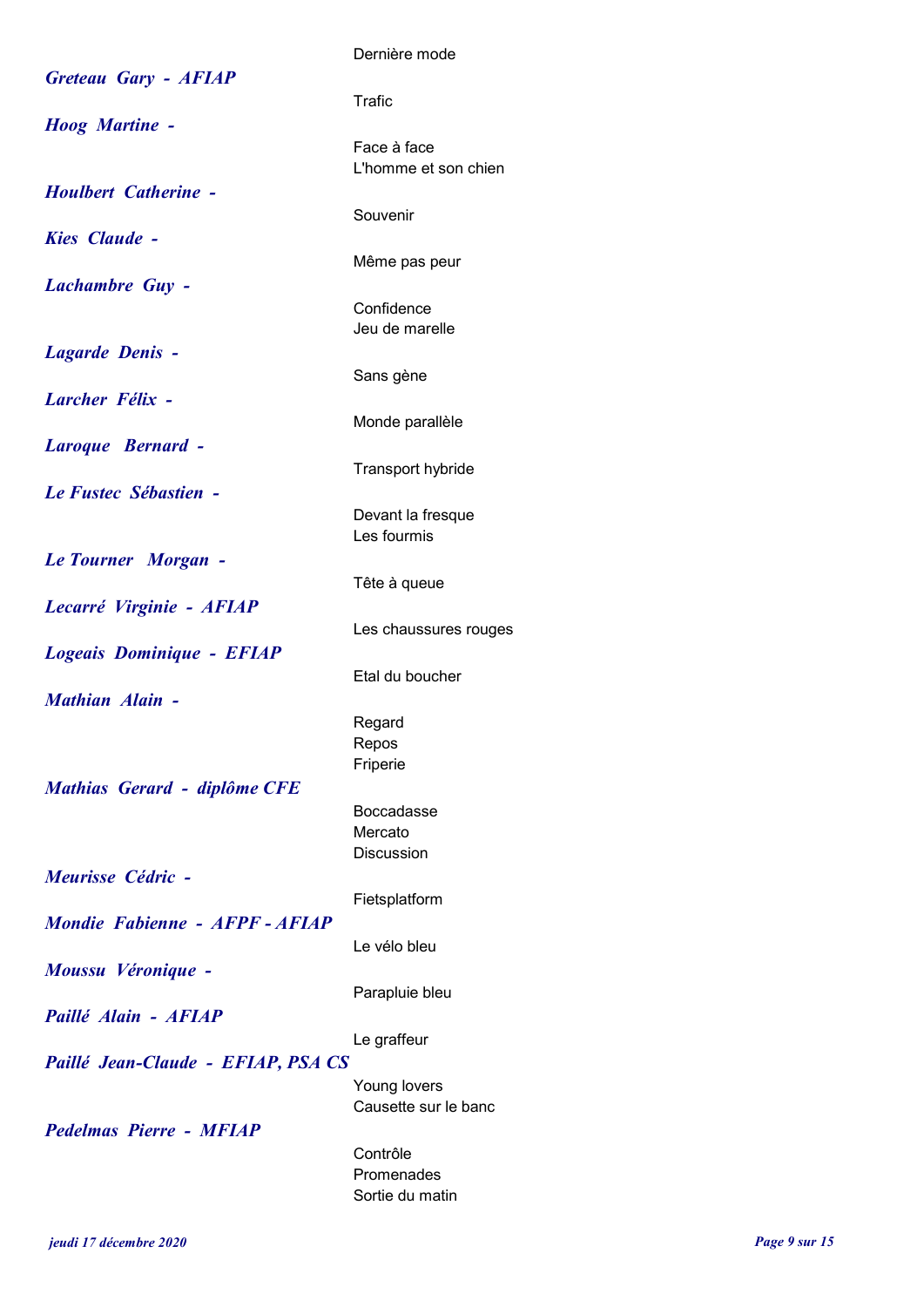|                                    | Dernière mode                       |
|------------------------------------|-------------------------------------|
| <b>Greteau Gary - AFIAP</b>        | Trafic                              |
| <b>Hoog Martine -</b>              |                                     |
|                                    | Face à face<br>L'homme et son chien |
| <b>Houlbert Catherine -</b>        |                                     |
|                                    | Souvenir                            |
| <b>Kies Claude -</b>               | Même pas peur                       |
| <b>Lachambre Guy -</b>             |                                     |
|                                    | Confidence<br>Jeu de marelle        |
| Lagarde Denis -                    |                                     |
|                                    | Sans gène                           |
| <b>Larcher Félix -</b>             | Monde parallèle                     |
| Laroque Bernard -                  |                                     |
|                                    | Transport hybride                   |
| Le Fustec Sébastien -              | Devant la fresque                   |
|                                    | Les fourmis                         |
| Le Tourner Morgan -                |                                     |
| Lecarré Virginie - AFIAP           | Tête à queue                        |
|                                    | Les chaussures rouges               |
| Logeais Dominique - EFIAP          | Etal du boucher                     |
| <b>Mathian Alain -</b>             |                                     |
|                                    | Regard                              |
|                                    | Repos<br>Friperie                   |
| Mathias Gerard - diplôme CFE       |                                     |
|                                    | <b>Boccadasse</b><br>Mercato        |
|                                    | <b>Discussion</b>                   |
| Meurisse Cédric -                  | Fietsplatform                       |
| Mondie Fabienne - AFPF - AFIAP     |                                     |
|                                    | Le vélo bleu                        |
| Moussu Véronique -                 | Parapluie bleu                      |
| Paillé Alain - AFIAP               |                                     |
|                                    | Le graffeur                         |
| Paillé Jean-Claude - EFIAP, PSA CS | Young lovers                        |
|                                    | Causette sur le banc                |
| <b>Pedelmas Pierre - MFIAP</b>     |                                     |
|                                    | Contrôle<br>Promenades              |
|                                    | Sortie du matin                     |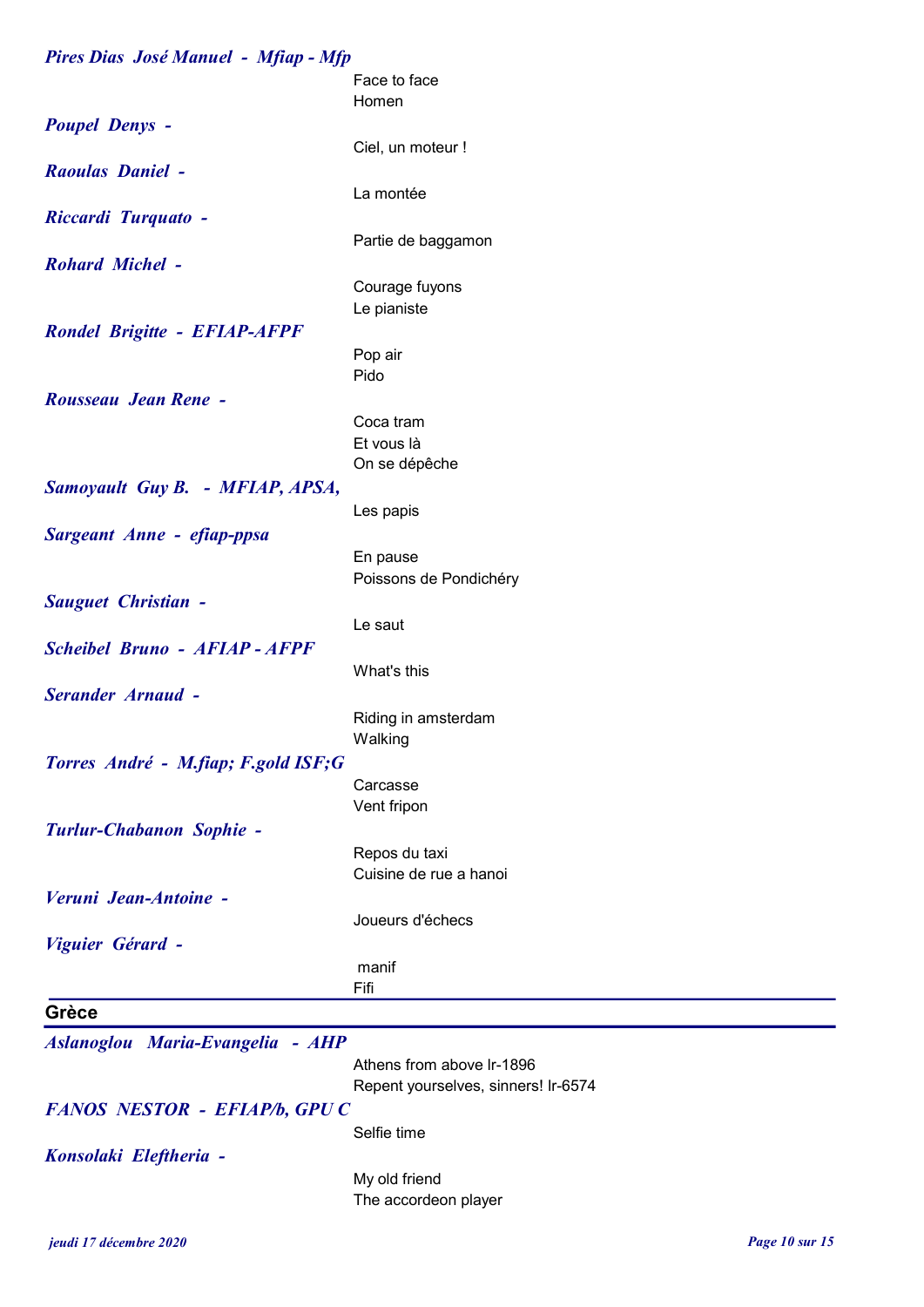| Pires Dias José Manuel - Mfiap - Mfp |                                         |
|--------------------------------------|-----------------------------------------|
|                                      | Face to face                            |
|                                      | Homen                                   |
| <b>Poupel Denys -</b>                |                                         |
|                                      | Ciel, un moteur !                       |
| <b>Raoulas Daniel -</b>              |                                         |
|                                      | La montée                               |
| <b>Riccardi Turquato -</b>           |                                         |
|                                      | Partie de baggamon                      |
| <b>Rohard Michel -</b>               |                                         |
|                                      | Courage fuyons                          |
|                                      | Le pianiste                             |
| <b>Rondel Brigitte - EFIAP-AFPF</b>  |                                         |
|                                      | Pop air                                 |
|                                      | Pido                                    |
| Rousseau Jean Rene -                 |                                         |
|                                      | Coca tram                               |
|                                      | Et vous là                              |
|                                      | On se dépêche                           |
| Samoyault Guy B. - MFIAP, APSA,      |                                         |
|                                      | Les papis                               |
| Sargeant Anne - efiap-ppsa           |                                         |
|                                      | En pause                                |
|                                      | Poissons de Pondichéry                  |
| <b>Sauguet Christian -</b>           |                                         |
|                                      | Le saut                                 |
| <b>Scheibel Bruno - AFIAP - AFPF</b> |                                         |
|                                      | What's this                             |
| <b>Serander Arnaud -</b>             |                                         |
|                                      | Riding in amsterdam                     |
|                                      | Walking                                 |
| Torres André - M.fiap; F.gold ISF;G  |                                         |
|                                      | Carcasse                                |
|                                      | Vent fripon                             |
| Turlur-Chabanon Sophie -             |                                         |
|                                      | Repos du taxi<br>Cuisine de rue a hanoi |
| Veruni Jean-Antoine -                |                                         |
|                                      | Joueurs d'échecs                        |
|                                      |                                         |
| Viguier Gérard -                     | manif                                   |
|                                      | Fifi                                    |
| Grèce                                |                                         |
|                                      |                                         |
| Aslanoglou Maria-Evangelia - AHP     |                                         |
|                                      | Athens from above Ir-1896               |
|                                      | Repent yourselves, sinners! Ir-6574     |
| FANOS NESTOR - EFIAP/b, GPU C        |                                         |
|                                      | Selfie time                             |
| Konsolaki Eleftheria -               |                                         |
|                                      | My old friend                           |
|                                      | The accordeon player                    |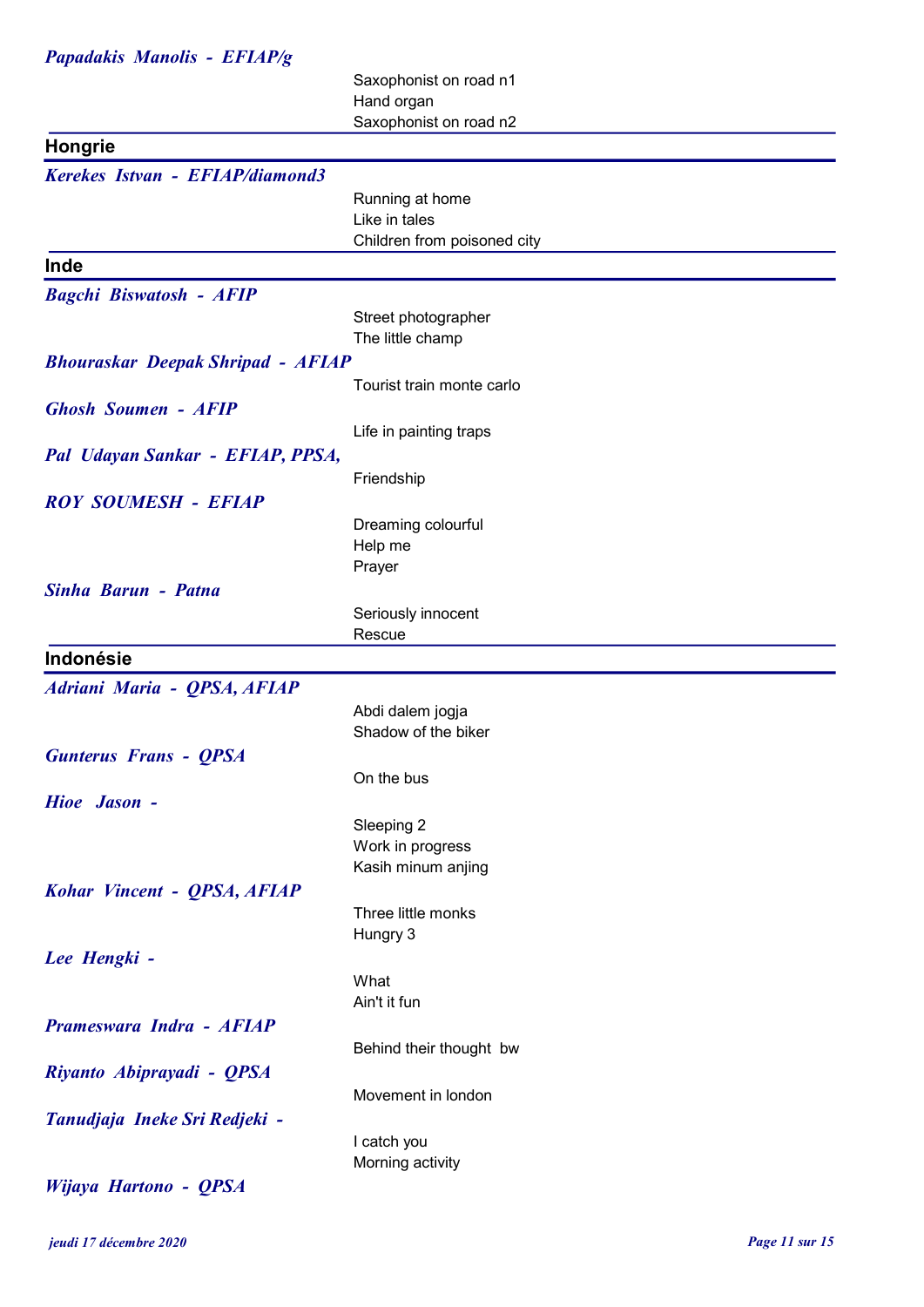### Papadakis Manolis - EFIAP/g

Saxophonist on road n1 Hand organ Saxophonist on road n2

|                                          | Udwylioniat Univau nz          |
|------------------------------------------|--------------------------------|
| Hongrie                                  |                                |
| Kerekes Istvan - EFIAP/diamond3          |                                |
|                                          | Running at home                |
|                                          | Like in tales                  |
|                                          | Children from poisoned city    |
| Inde                                     |                                |
| <b>Bagchi Biswatosh - AFIP</b>           |                                |
|                                          | Street photographer            |
|                                          | The little champ               |
| <b>Bhouraskar Deepak Shripad - AFIAP</b> |                                |
|                                          | Tourist train monte carlo      |
| <b>Ghosh Soumen - AFIP</b>               |                                |
|                                          | Life in painting traps         |
| Pal Udayan Sankar - EFIAP, PPSA,         |                                |
|                                          | Friendship                     |
| <b>ROY SOUMESH - EFIAP</b>               |                                |
|                                          | Dreaming colourful             |
|                                          | Help me                        |
|                                          | Prayer                         |
| Sinha Barun - Patna                      |                                |
|                                          | Seriously innocent             |
|                                          | Rescue                         |
| Indonésie                                |                                |
| Adriani Maria - QPSA, AFIAP              |                                |
|                                          | Abdi dalem jogja               |
|                                          | Shadow of the biker            |
| <b>Gunterus Frans - QPSA</b>             |                                |
|                                          | On the bus                     |
| Hioe Jason -                             |                                |
|                                          | Sleeping 2                     |
|                                          | Work in progress               |
|                                          | Kasih minum anjing             |
| Kohar Vincent - QPSA, AFIAP              |                                |
|                                          | Three little monks<br>Hungry 3 |
| Lee Hengki -                             |                                |
|                                          | What                           |
|                                          | Ain't it fun                   |
| Prameswara Indra - AFIAP                 |                                |
|                                          | Behind their thought bw        |
| Riyanto Abiprayadi - QPSA                |                                |
|                                          | Movement in london             |
| Tanudjaja Ineke Sri Redjeki -            |                                |
|                                          | I catch you                    |
|                                          | Morning activity               |
| Wijaya Hartono - QPSA                    |                                |

jeudi 17 décembre 2020 Page 11 sur 15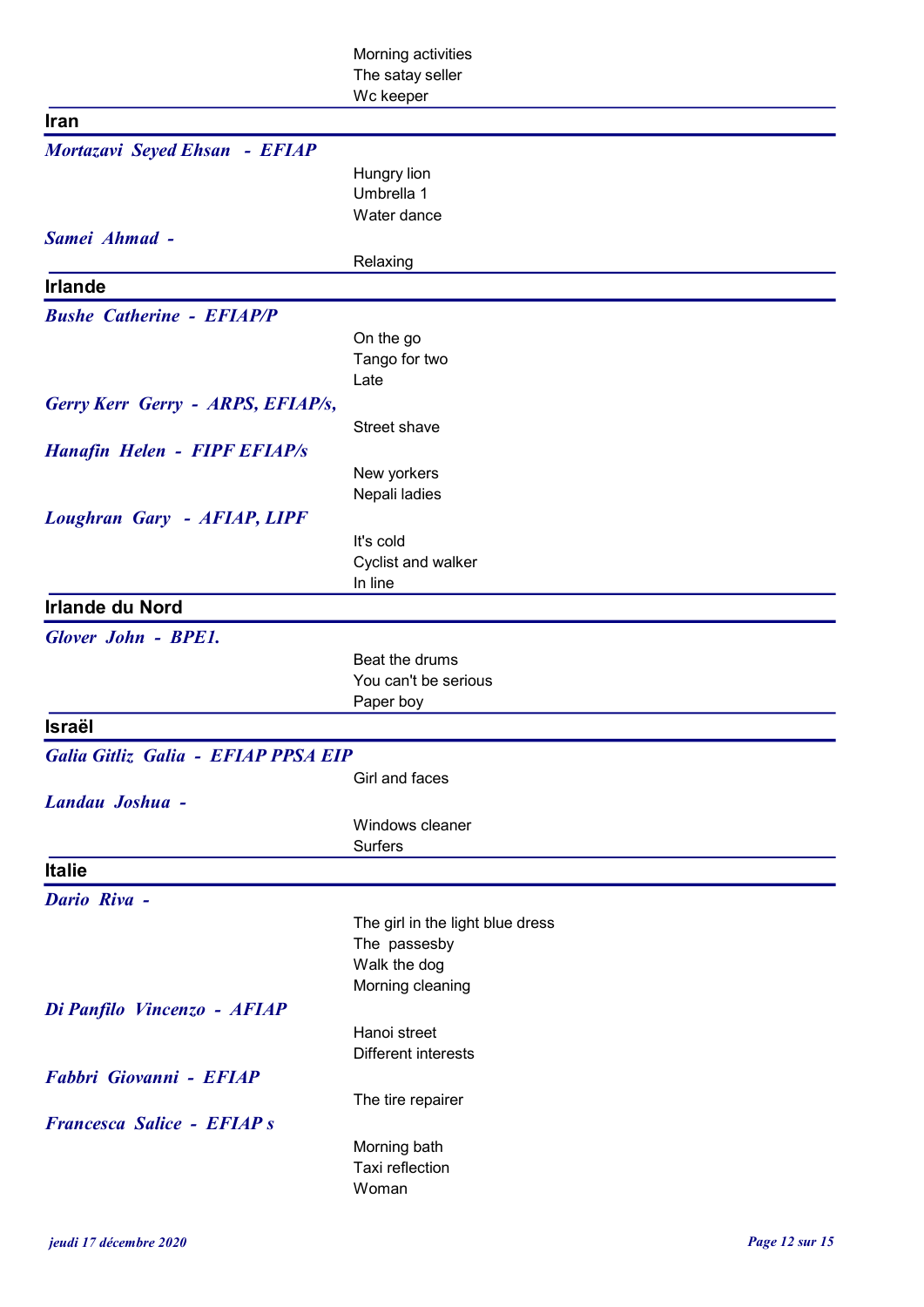|                                     | Morning activities               |
|-------------------------------------|----------------------------------|
|                                     | The satay seller                 |
|                                     | Wc keeper                        |
| <b>Iran</b>                         |                                  |
| Mortazavi Seyed Ehsan - EFIAP       |                                  |
|                                     | Hungry lion                      |
|                                     | Umbrella 1<br>Water dance        |
| Samei Ahmad -                       |                                  |
|                                     | Relaxing                         |
| <b>Irlande</b>                      |                                  |
| <b>Bushe Catherine - EFIAP/P</b>    |                                  |
|                                     | On the go                        |
|                                     | Tango for two                    |
|                                     | Late                             |
| Gerry Kerr Gerry - ARPS, EFIAP/s,   |                                  |
|                                     | Street shave                     |
| <b>Hanafin Helen - FIPF EFIAP/s</b> |                                  |
|                                     | New yorkers                      |
|                                     | Nepali ladies                    |
| <b>Loughran Gary - AFIAP, LIPF</b>  |                                  |
|                                     | It's cold                        |
|                                     | Cyclist and walker<br>In line    |
| <b>Irlande du Nord</b>              |                                  |
| <b>Glover John - BPE1.</b>          |                                  |
|                                     | Beat the drums                   |
|                                     | You can't be serious             |
|                                     | Paper boy                        |
| <b>Israël</b>                       |                                  |
| Galia Gitliz Galia - EFIAP PPSA EIP |                                  |
|                                     | Girl and faces                   |
| Landau Joshua -                     |                                  |
|                                     | Windows cleaner                  |
|                                     | <b>Surfers</b>                   |
| <b>Italie</b>                       |                                  |
| <b>Dario Riva -</b>                 |                                  |
|                                     | The girl in the light blue dress |
|                                     | The passesby                     |
|                                     | Walk the dog<br>Morning cleaning |
| Di Panfilo Vincenzo - AFIAP         |                                  |
|                                     | Hanoi street                     |
|                                     | <b>Different interests</b>       |
| Fabbri Giovanni - EFIAP             |                                  |
|                                     | The tire repairer                |
| <b>Francesca Salice - EFIAP s</b>   |                                  |
|                                     | Morning bath                     |
|                                     |                                  |
|                                     | Taxi reflection<br>Woman         |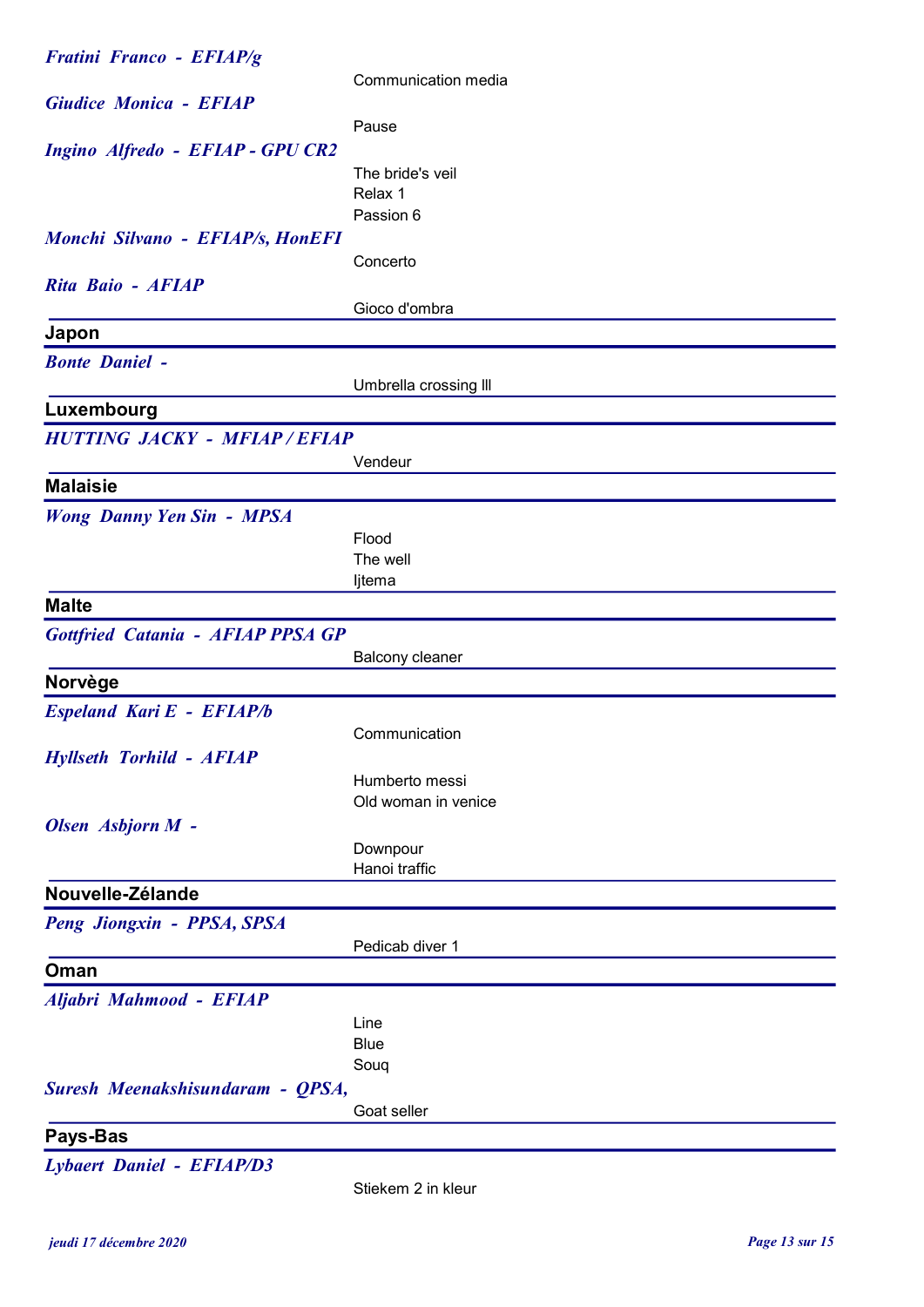| <b>Fratini Franco - EFIAP/g</b>    |                       |
|------------------------------------|-----------------------|
|                                    | Communication media   |
| <b>Giudice Monica - EFIAP</b>      |                       |
|                                    | Pause                 |
| Ingino Alfredo - EFIAP - GPU CR2   |                       |
|                                    | The bride's veil      |
|                                    | Relax 1               |
|                                    | Passion 6             |
| Monchi Silvano - EFIAP/s, HonEFI   |                       |
| Rita Baio - AFIAP                  | Concerto              |
|                                    | Gioco d'ombra         |
| Japon                              |                       |
|                                    |                       |
| <b>Bonte Daniel -</b>              |                       |
|                                    | Umbrella crossing III |
| Luxembourg                         |                       |
| <b>HUTTING JACKY - MFIAP/EFIAP</b> |                       |
|                                    | Vendeur               |
| <b>Malaisie</b>                    |                       |
| <b>Wong Danny Yen Sin - MPSA</b>   |                       |
|                                    | Flood                 |
|                                    | The well              |
|                                    | ljtema                |
| <b>Malte</b>                       |                       |
| Gottfried Catania - AFIAP PPSA GP  |                       |
|                                    | Balcony cleaner       |
| <b>Norvège</b>                     |                       |
| Espeland Kari E - EFIAP/b          |                       |
|                                    | Communication         |
| <b>Hyllseth Torhild - AFIAP</b>    |                       |
|                                    | Humberto messi        |
|                                    | Old woman in venice   |
| Olsen Asbjorn M -                  |                       |
|                                    | Downpour              |
|                                    | Hanoi traffic         |
| Nouvelle-Zélande                   |                       |
| Peng Jiongxin - PPSA, SPSA         |                       |
|                                    | Pedicab diver 1       |
| Oman                               |                       |
| Aljabri Mahmood - EFIAP            |                       |
|                                    | Line                  |
|                                    | <b>Blue</b>           |
|                                    | Soug                  |
| Suresh Meenakshisundaram - QPSA,   |                       |
|                                    | Goat seller           |
| Pays-Bas                           |                       |
| <b>Lybaert Daniel - EFIAP/D3</b>   |                       |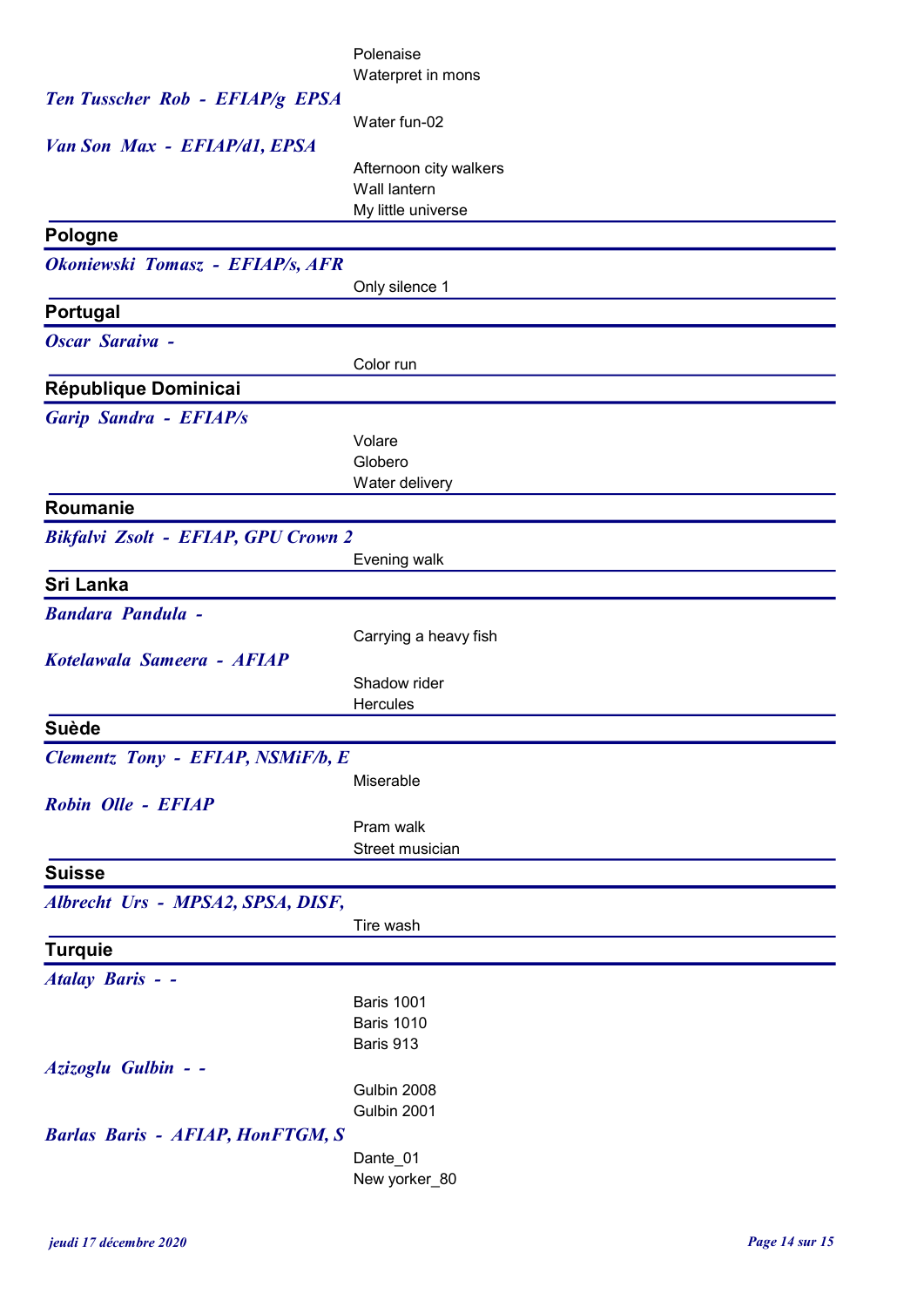|                                         | Polenaise                          |
|-----------------------------------------|------------------------------------|
| Ten Tusscher Rob - EFIAP/g EPSA         | Waterpret in mons                  |
|                                         | Water fun-02                       |
| Van Son Max - EFIAP/d1, EPSA            |                                    |
|                                         | Afternoon city walkers             |
|                                         | Wall lantern<br>My little universe |
| <b>Pologne</b>                          |                                    |
| Okoniewski Tomasz - EFIAP/s, AFR        |                                    |
|                                         | Only silence 1                     |
| Portugal                                |                                    |
| <b>Oscar Saraiva -</b>                  |                                    |
|                                         | Color run                          |
| République Dominicai                    |                                    |
| <b>Garip Sandra - EFIAP/s</b>           |                                    |
|                                         | Volare<br>Globero                  |
|                                         | Water delivery                     |
| Roumanie                                |                                    |
| Bikfalvi Zsolt - EFIAP, GPU Crown 2     |                                    |
|                                         | Evening walk                       |
| Sri Lanka                               |                                    |
| <b>Bandara Pandula -</b>                |                                    |
| Kotelawala Sameera - AFIAP              | Carrying a heavy fish              |
|                                         | Shadow rider                       |
|                                         | Hercules                           |
| <b>Suède</b>                            |                                    |
| Clementz Tony - EFIAP, NSMiF/b, E       |                                    |
|                                         | Miserable                          |
| Robin Olle - EFIAP                      |                                    |
|                                         | Pram walk<br>Street musician       |
| <b>Suisse</b>                           |                                    |
| Albrecht Urs - MPSA2, SPSA, DISF,       |                                    |
|                                         | Tire wash                          |
| <b>Turquie</b>                          |                                    |
| <b>Atalay Baris - -</b>                 |                                    |
|                                         | <b>Baris 1001</b>                  |
|                                         | <b>Baris 1010</b><br>Baris 913     |
| Azizoglu Gulbin - -                     |                                    |
|                                         |                                    |
|                                         | Gulbin 2008                        |
|                                         | Gulbin 2001                        |
| <b>Barlas Baris - AFIAP, HonFTGM, S</b> |                                    |
|                                         | Dante_01<br>New yorker_80          |